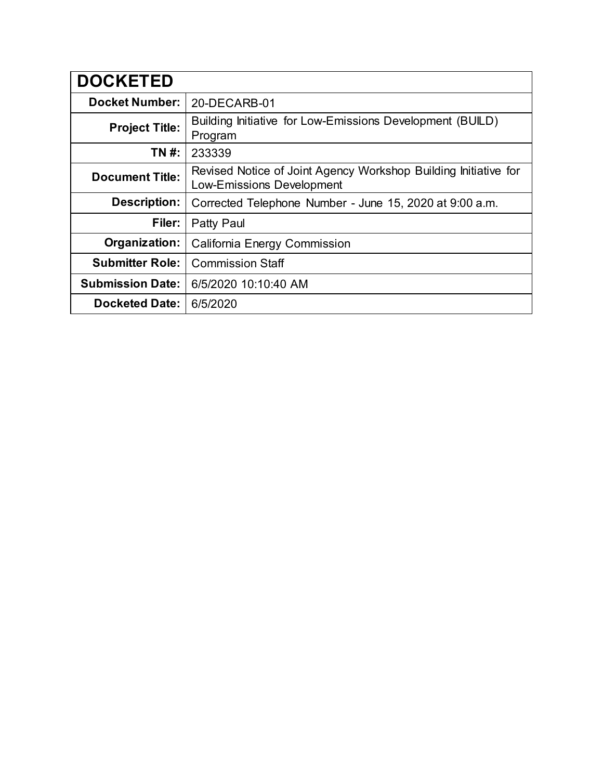| <b>DOCKETED</b>         |                                                                                                     |
|-------------------------|-----------------------------------------------------------------------------------------------------|
| <b>Docket Number:</b>   | 20-DECARB-01                                                                                        |
| <b>Project Title:</b>   | Building Initiative for Low-Emissions Development (BUILD)<br>Program                                |
| TN #:                   | 233339                                                                                              |
| <b>Document Title:</b>  | Revised Notice of Joint Agency Workshop Building Initiative for<br><b>Low-Emissions Development</b> |
| <b>Description:</b>     | Corrected Telephone Number - June 15, 2020 at 9:00 a.m.                                             |
| Filer:                  | Patty Paul                                                                                          |
| Organization:           | California Energy Commission                                                                        |
| <b>Submitter Role:</b>  | <b>Commission Staff</b>                                                                             |
| <b>Submission Date:</b> | 6/5/2020 10:10:40 AM                                                                                |
| <b>Docketed Date:</b>   | 6/5/2020                                                                                            |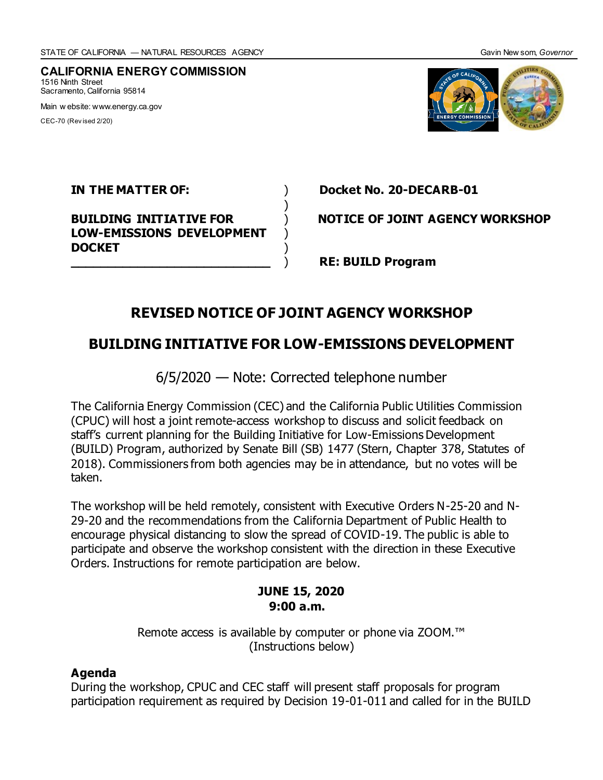**CALIFORNIA ENERGY COMMISSION** 1516 Ninth Street Sacramento, California 95814 Main w ebsite: www.energy.ca.gov

CEC-70 (Rev ised 2/20)



**LOW-EMISSIONS DEVELOPMENT DOCKET** )

**IN THE MATTER OF:** ) **Docket No. 20-DECARB-01**

**BUILDING INITIATIVE FOR** ) **NOTICE OF JOINT AGENCY WORKSHOP**

**\_\_\_\_\_\_\_\_\_\_\_\_\_\_\_\_\_\_\_\_\_\_\_\_\_\_\_** ) **RE: BUILD Program**

# **REVISED NOTICE OF JOINT AGENCY WORKSHOP**

)

## **BUILDING INITIATIVE FOR LOW-EMISSIONS DEVELOPMENT**

6/5/2020 — Note: Corrected telephone number

The California Energy Commission (CEC) and the California Public Utilities Commission (CPUC) will host a joint remote-access workshop to discuss and solicit feedback on staff's current planning for the Building Initiative for Low-Emissions Development (BUILD) Program, authorized by Senate Bill (SB) 1477 (Stern, Chapter 378, Statutes of 2018). Commissioners from both agencies may be in attendance, but no votes will be taken.

The workshop will be held remotely, consistent with Executive Orders N-25-20 and N-29-20 and the recommendations from the California Department of Public Health to encourage physical distancing to slow the spread of COVID-19. The public is able to participate and observe the workshop consistent with the direction in these Executive Orders. Instructions for remote participation are below.

### **JUNE 15, 2020 9:00 a.m.**

Remote access is available by computer or phone via ZOOM.<sup>™</sup> (Instructions below)

### **Agenda**

During the workshop, CPUC and CEC staff will present staff proposals for program participation requirement as required by Decision 19-01-011 and called for in the BUILD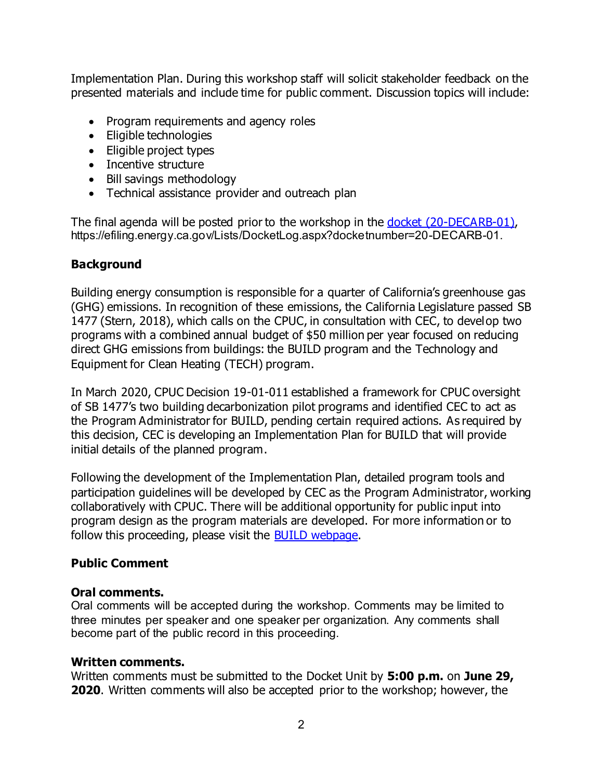Implementation Plan. During this workshop staff will solicit stakeholder feedback on the presented materials and include time for public comment. Discussion topics will include:

- Program requirements and agency roles
- Eligible technologies
- Eligible project types
- Incentive structure
- Bill savings methodology
- Technical assistance provider and outreach plan

The final agenda will be posted prior to the workshop in the [docket \(20-DECARB-01\)](https://efiling.energy.ca.gov/Lists/DocketLog.aspx?docketnumber=20-DECARB-01), https://efiling.energy.ca.gov/Lists/DocketLog.aspx?docketnumber=20-DECARB-01.

## **Background**

Building energy consumption is responsible for a quarter of California's greenhouse gas (GHG) emissions. In recognition of these emissions, the California Legislature passed SB 1477 (Stern, 2018), which calls on the CPUC, in consultation with CEC, to develop two programs with a combined annual budget of \$50 million per year focused on reducing direct GHG emissions from buildings: the BUILD program and the Technology and Equipment for Clean Heating (TECH) program.

In March 2020, CPUC Decision 19-01-011 established a framework for CPUC oversight of SB 1477's two building decarbonization pilot programs and identified CEC to act as the Program Administrator for BUILD, pending certain required actions. As required by this decision, CEC is developing an Implementation Plan for BUILD that will provide initial details of the planned program.

Following the development of the Implementation Plan, detailed program tools and participation guidelines will be developed by CEC as the Program Administrator, working collaboratively with CPUC. There will be additional opportunity for public input into program design as the program materials are developed. For more information or to follow this proceeding, please visit the **BUILD webpage**.

### **Public Comment**

### **Oral comments.**

Oral comments will be accepted during the workshop. Comments may be limited to three minutes per speaker and one speaker per organization. Any comments shall become part of the public record in this proceeding.

### **Written comments.**

Written comments must be submitted to the Docket Unit by **5:00 p.m.** on **June 29, 2020**. Written comments will also be accepted prior to the workshop; however, the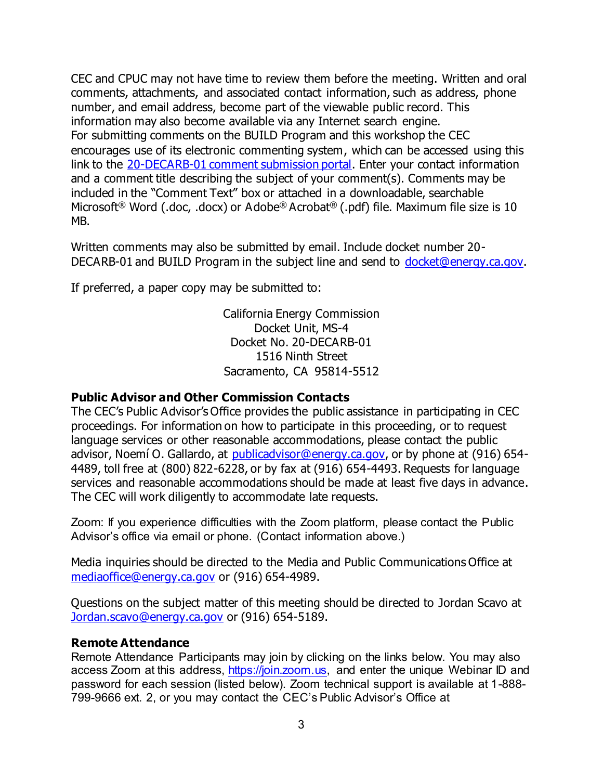CEC and CPUC may not have time to review them before the meeting. Written and oral comments, attachments, and associated contact information, such as address, phone number, and email address, become part of the viewable public record. This information may also become available via any Internet search engine. For submitting comments on the BUILD Program and this workshop the CEC encourages use of its electronic commenting system, which can be accessed using this link to the [20-DECARB-01 comment submission portal.](https://efiling.energy.ca.gov/Ecomment/Ecomment.aspx?docketnumber=20-DECARB-01) Enter your contact information and a comment title describing the subject of your comment(s). Comments may be included in the "Comment Text" box or attached in a downloadable, searchable Microsoft<sup>®</sup> Word (.doc, .docx) or Adobe® Acrobat<sup>®</sup> (.pdf) file. Maximum file size is 10 MB.

Written comments may also be submitted by email. Include docket number 20- DECARB-01 and BUILD Program in the subject line and send to [docket@energy.ca.gov.](mailto:docket@energy.ca.gov)

If preferred, a paper copy may be submitted to:

California Energy Commission Docket Unit, MS-4 Docket No. 20-DECARB-01 1516 Ninth Street Sacramento, CA 95814-5512

### **Public Advisor and Other Commission Contacts**

The CEC's Public Advisor's Office provides the public assistance in participating in CEC proceedings. For information on how to participate in this proceeding, or to request language services or other reasonable accommodations, please contact the public advisor, Noemí O. Gallardo, at [publicadvisor@energy.ca.gov,](mailto:publicadvisor@energy.ca.gov) or by phone at (916) 654-4489, toll free at (800) 822-6228, or by fax at (916) 654-4493. Requests for language services and reasonable accommodations should be made at least five days in advance. The CEC will work diligently to accommodate late requests.

Zoom: If you experience difficulties with the Zoom platform, please contact the Public Advisor's office via email or phone. (Contact information above.)

Media inquiries should be directed to the Media and Public Communications Office at [mediaoffice@energy.ca.gov](mailto:mediaoffice@energy.ca.gov) or (916) 654-4989.

Questions on the subject matter of this meeting should be directed to Jordan Scavo at [Jordan.scavo@energy.ca.gov](mailto:Jordan.scavo@energy.ca.gov) or (916) 654-5189.

### **Remote Attendance**

Remote Attendance Participants may join by clicking on the links below. You may also access Zoom at this address, [https://join.zoom.us,](https://join.zoom.us/) and enter the unique Webinar ID and password for each session (listed below). Zoom technical support is available at 1-888- 799-9666 ext. 2, or you may contact the CEC's Public Advisor's Office at